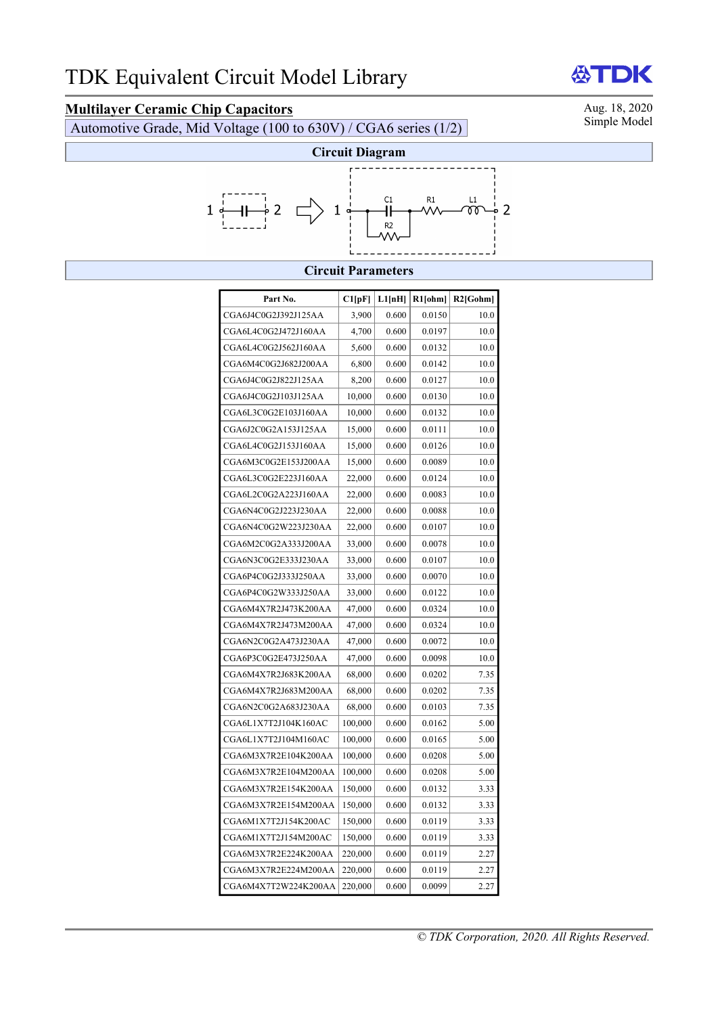# **Multilayer Ceramic Chip Capacitors**<br>Automotive Grade Mid Voltage (100 to 630V) / CGA6 series (1/2) Simple Model

Automotive Grade, Mid Voltage (100 to  $630V$ ) / CGA6 series (1/2)



### **Circuit Parameters**

| Part No.             | Cl[pF]  | L1[nH] | R1[ohm] | $R2$ [Gohm] |
|----------------------|---------|--------|---------|-------------|
| CGA6J4C0G2J392J125AA | 3,900   | 0.600  | 0.0150  | 10.0        |
| CGA6L4C0G2J472J160AA | 4,700   | 0.600  | 0.0197  | 10.0        |
| CGA6L4C0G2J562J160AA | 5,600   | 0.600  | 0.0132  | 10.0        |
| CGA6M4C0G2J682J200AA | 6,800   | 0.600  | 0.0142  | 10.0        |
| CGA6J4C0G2J822J125AA | 8,200   | 0.600  | 0.0127  | 10.0        |
| CGA6J4C0G2J103J125AA | 10,000  | 0.600  | 0.0130  | 10.0        |
| CGA6L3C0G2E103J160AA | 10,000  | 0.600  | 0.0132  | 10.0        |
| CGA6J2C0G2A153J125AA | 15,000  | 0.600  | 0.0111  | 10.0        |
| CGA6L4C0G2J153J160AA | 15,000  | 0.600  | 0.0126  | 10.0        |
| CGA6M3C0G2E153J200AA | 15,000  | 0.600  | 0.0089  | 10.0        |
| CGA6L3C0G2E223J160AA | 22,000  | 0.600  | 0.0124  | 10.0        |
| CGA6L2C0G2A223J160AA | 22,000  | 0.600  | 0.0083  | 10.0        |
| CGA6N4C0G2J223J230AA | 22,000  | 0.600  | 0.0088  | 10.0        |
| CGA6N4C0G2W223J230AA | 22,000  | 0.600  | 0.0107  | 10.0        |
| CGA6M2C0G2A333J200AA | 33,000  | 0.600  | 0.0078  | 10.0        |
| CGA6N3C0G2E333J230AA | 33,000  | 0.600  | 0.0107  | 10.0        |
| CGA6P4C0G2J333J250AA | 33,000  | 0.600  | 0.0070  | 10.0        |
| CGA6P4C0G2W333J250AA | 33,000  | 0.600  | 0.0122  | 10.0        |
| CGA6M4X7R2J473K200AA | 47,000  | 0.600  | 0.0324  | 10.0        |
| CGA6M4X7R2J473M200AA | 47,000  | 0.600  | 0.0324  | 10.0        |
| CGA6N2C0G2A473J230AA | 47,000  | 0.600  | 0.0072  | 10.0        |
| CGA6P3C0G2E473J250AA | 47,000  | 0.600  | 0.0098  | 10.0        |
| CGA6M4X7R2J683K200AA | 68,000  | 0.600  | 0.0202  | 7.35        |
| CGA6M4X7R2J683M200AA | 68,000  | 0.600  | 0.0202  | 7.35        |
| CGA6N2C0G2A683J230AA | 68,000  | 0.600  | 0.0103  | 7.35        |
| CGA6L1X7T2J104K160AC | 100,000 | 0.600  | 0.0162  | 5.00        |
| CGA6L1X7T2J104M160AC | 100,000 | 0.600  | 0.0165  | 5.00        |
| CGA6M3X7R2E104K200AA | 100,000 | 0.600  | 0.0208  | 5.00        |
| CGA6M3X7R2E104M200AA | 100,000 | 0.600  | 0.0208  | 5.00        |
| CGA6M3X7R2E154K200AA | 150,000 | 0.600  | 0.0132  | 3.33        |
| CGA6M3X7R2E154M200AA | 150,000 | 0.600  | 0.0132  | 3.33        |
| CGA6M1X7T2J154K200AC | 150,000 | 0.600  | 0.0119  | 3.33        |
| CGA6M1X7T2J154M200AC | 150,000 | 0.600  | 0.0119  | 3.33        |
| CGA6M3X7R2E224K200AA | 220,000 | 0.600  | 0.0119  | 2.27        |
| CGA6M3X7R2E224M200AA | 220,000 | 0.600  | 0.0119  | 2.27        |
| CGA6M4X7T2W224K200AA | 220,000 | 0.600  | 0.0099  | 2.27        |

## **ATDK**